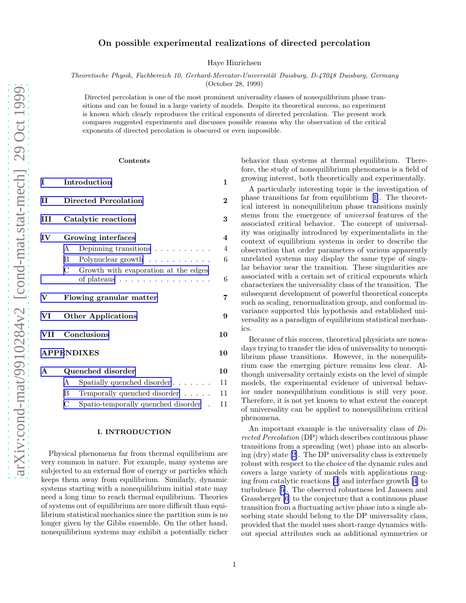# On possible experimental realizations of directed percolation

Haye Hinrichsen

*Theoretische Physik, Fachbereich 10, Gerhard-Mercator-Universit¨at Duisburg, D-47048 Duisburg, Germany* (October 28, 1999)

Directed percolation is one of the most prominent universality classes of nonequilibrium phase transitions and can be found in a large variety of models. Despite its theoretical success, no experiment is known which clearly reproduces the critical exponents of directed percolation. The present work compares suggested experiments and discusses possible reasons why the observation of the critical exponents of directed percolation is obscured or even impossible.

#### Contents

| I                 | Introduction                                                                                              |    |  |  |
|-------------------|-----------------------------------------------------------------------------------------------------------|----|--|--|
| П                 | <b>Directed Percolation</b>                                                                               |    |  |  |
| Ш                 | Catalytic reactions                                                                                       |    |  |  |
| IV                | Growing interfaces                                                                                        | 4  |  |  |
|                   | Depinning transitions $\ldots \ldots \ldots$<br>A                                                         | 4  |  |  |
|                   | Polynuclear growth<br>B                                                                                   | 6  |  |  |
|                   | $\mathcal{C}$<br>Growth with evaporation at the edges<br>of plateaus $\ldots \ldots \ldots \ldots \ldots$ | 6  |  |  |
| V                 | Flowing granular matter                                                                                   |    |  |  |
| VI                | <b>Other Applications</b>                                                                                 |    |  |  |
| VII               | Conclusions                                                                                               |    |  |  |
| <b>APPENDIXES</b> |                                                                                                           |    |  |  |
| $\mathbf{A}$      | Quenched disorder                                                                                         | 10 |  |  |
|                   | Spatially quenched disorder $\ldots$<br>A                                                                 | 11 |  |  |
|                   | B<br>Temporally quenched disorder                                                                         | 11 |  |  |
|                   | С<br>Spatio-temporally quenched disorder                                                                  | 11 |  |  |
|                   |                                                                                                           |    |  |  |

## I. INTRODUCTION

Physical phenomena far from thermal equilibrium are very common in nature. For example, many systems are subjected to an external flow of energy or particles which keeps them away from equilibrium. Similarly, dynamic systems starting with a nonequilibrium initial state may need a long time to reach thermal equilibrium. Theories of systems out of equilibrium are more difficult than equilibrium statistical mechanics since the partition sum is no longer given by the Gibbs ensemble. On the other hand, nonequilibrium systems may exhibit a potentially richer behavior than systems at thermal equilibrium. Therefore, the study of nonequilibrium phenomena is a field of growing interest, both theoretically and experimentally.

A particularly interesting topic is the investigation of phase transitions far from equilibrium[[1\]](#page-11-0). The theoretical interest in nonequilibrium phase transitions mainly stems from the emergence of universal features of the associated critical behavior. The concept of universality was originally introduced by experimentalists in the context of equilibrium systems in order to describe the observation that order parameters of various apparently unrelated systems may display the same type of singular behavior near the transition. These singularities are associated with a certain set of critical exponents which characterizes the universality class of the transition. The subsequent development of powerful theoretical concepts such as scaling, renormalization group, and conformal invariance supported this hypothesis and established universality as a paradigm of equilibrium statistical mechanics.

Because of this success, theoretical physicists are nowadays trying to transfer the idea of universality to nonequilibrium phase transitions. However, in the nonequilibrium case the emerging picture remains less clear. Although universality certainly exists on the level of simple models, the experimental evidence of universal behavior under nonequilibrium conditions is still very poor. Therefore, it is not yet known to what extent the concept of universality can be applied to nonequilibrium critical phenomena.

An important example is the universality class of Directed Percolation (DP) which describes continuous phase transitions from a spreading (wet) phase into an absorbing (dry) state[[2\]](#page-11-0). The DP universality class is extremely robust with respect to the choice of the dynamic rules and covers a large variety of models with applications ranging from catalytic reactions [\[3](#page-11-0)] and interface growth[[4](#page-11-0)] to turbulence[[5\]](#page-11-0). The observed robustness led Janssen and Grassberger [\[6](#page-11-0)] to the conjecture that a continuous phase transition from a fluctuating active phase into a single absorbing state should belong to the DP universality class, provided that the model uses short-range dynamics without special attributes such as additional symmetries or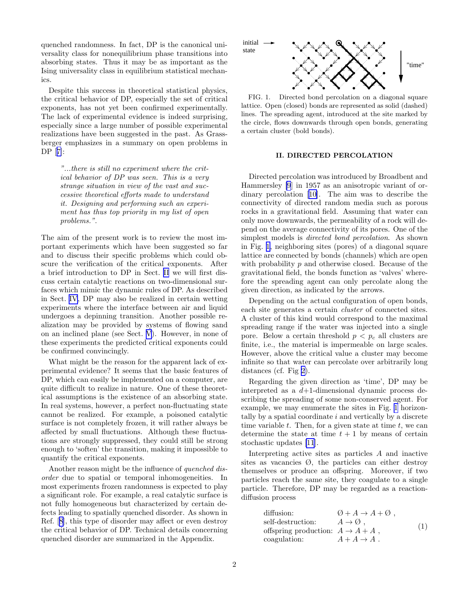<span id="page-1-0"></span>quenched randomness. In fact, DP is the canonical universality class for nonequilibrium phase transitions into absorbing states. Thus it may be as important as the Ising universality class in equilibrium statistical mechanics.

Despite this success in theoretical statistical physics, the critical behavior of DP, especially the set of critical exponents, has not yet been confirmed experimentally. The lack of experimental evidence is indeed surprising, especially since a large number of possible experimental realizations have been suggested in the past. As Grassberger emphasizes in a summary on open problems in DP[[7\]](#page-11-0):

> "...there is still no experiment where the critical behavior of DP was seen. This is a very strange situation in view of the vast and successive theoretical efforts made to understand it. Designing and performing such an experiment has thus top priority in my list of open problems.".

The aim of the present work is to review the most important experiments which have been suggested so far and to discuss their specific problems which could obscure the verification of the critical exponents. After a brief introduction to DP in Sect. II we will first discuss certain catalytic reactions on two-dimensional surfaces which mimic the dynamic rules of DP. As described in Sect. [IV,](#page-3-0) DP may also be realized in certain wetting experiments where the interface between air and liquid undergoes a depinning transition. Another possible realization may be provided by systems of flowing sand on an inclined plane (see Sect. [V](#page-6-0)). However, in none of these experiments the predicted critical exponents could be confirmed convincingly.

What might be the reason for the apparent lack of experimental evidence? It seems that the basic features of DP, which can easily be implemented on a computer, are quite difficult to realize in nature. One of these theoretical assumptions is the existence of an absorbing state. In real systems, however, a perfect non-fluctuating state cannot be realized. For example, a poisoned catalytic surface is not completely frozen, it will rather always be affected by small fluctuations. Although these fluctuations are strongly suppressed, they could still be strong enough to 'soften' the transition, making it impossible to quantify the critical exponents.

Another reason might be the influence of quenched disorder due to spatial or temporal inhomogeneities. In most experiments frozen randomness is expected to play a significant role. For example, a real catalytic surface is not fully homogeneous but characterized by certain defects leading to spatially quenched disorder. As shown in Ref.[[8\]](#page-11-0), this type of disorder may affect or even destroy the critical behavior of DP. Technical details concerning quenched disorder are summarized in the Appendix.



FIG. 1. Directed bond percolation on a diagonal square lattice. Open (closed) bonds are represented as solid (dashed) lines. The spreading agent, introduced at the site marked by the circle, flows downwards through open bonds, generating a certain cluster (bold bonds).

# II. DIRECTED PERCOLATION

Directed percolation was introduced by Broadbent and Hammersley [\[9](#page-11-0)] in 1957 as an anisotropic variant of ordinary percolation[[10](#page-11-0)]. The aim was to describe the connectivity of directed random media such as porous rocks in a gravitational field. Assuming that water can only move downwards, the permeability of a rock will depend on the average connectivity of its pores. One of the simplest models is directed bond percolation. As shown in Fig. 1, neighboring sites (pores) of a diagonal square lattice are connected by bonds (channels) which are open with probability  $p$  and otherwise closed. Because of the gravitational field, the bonds function as 'valves' wherefore the spreading agent can only percolate along the given direction, as indicated by the arrows.

Depending on the actual configuration of open bonds, each site generates a certain *cluster* of connected sites. A cluster of this kind would correspond to the maximal spreading range if the water was injected into a single pore. Below a certain threshold  $p < p_c$  all clusters are finite, i.e., the material is impermeable on large scales. However, above the critical value a cluster may become infinite so that water can percolate over arbitrarily long distances (cf. Fig [2\)](#page-2-0).

Regarding the given direction as 'time', DP may be interpreted as a  $d+1$ -dimensional dynamic process describing the spreading of some non-conserved agent. For example, we may enumerate the sites in Fig. 1 horizontally by a spatial coordinate  $i$  and vertically by a discrete time variable  $t$ . Then, for a given state at time  $t$ , we can determine the state at time  $t + 1$  by means of certain stochastic updates [\[11](#page-11-0)].

Interpreting active sites as particles A and inactive sites as vacancies  $\emptyset$ , the particles can either destroy themselves or produce an offspring. Moreover, if two particles reach the same site, they coagulate to a single particle. Therefore, DP may be regarded as a reactiondiffusion process

diffusion:  
\n
$$
\begin{array}{ll}\n\emptyset + A \to A + \emptyset, \\
\text{self-destruction:} & A \to \emptyset, \\
\text{offspring production:} & A \to A + A, \\
\text{coagulation:} & A + A \to A.\n\end{array} \tag{1}
$$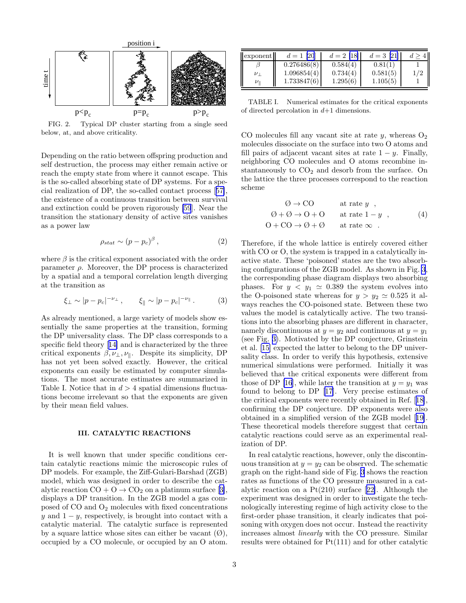<span id="page-2-0"></span>

FIG. 2. Typical DP cluster starting from a single seed below, at, and above criticality.

Depending on the ratio between offspring production and self destruction, the process may either remain active or reach the empty state from where it cannot escape. This is the so-called absorbing state of DP systems. For a special realization of DP, the so-called contact process[[57\]](#page-11-0), the existence of a continuous transition between survival and extinction could be proven rigorously [\[59](#page-11-0)]. Near the transition the stationary density of active sites vanishes as a power law

$$
\rho_{stat} \sim (p - p_c)^{\beta} \,, \tag{2}
$$

where  $\beta$  is the critical exponent associated with the order parameter  $\rho$ . Moreover, the DP process is characterized by a spatial and a temporal correlation length diverging at the transition as

$$
\xi_{\perp} \sim |p - p_c|^{-\nu_{\perp}}, \qquad \xi_{\parallel} \sim |p - p_c|^{-\nu_{\parallel}}.
$$
 (3)

As already mentioned, a large variety of models show essentially the same properties at the transition, forming the DP universality class. The DP class corresponds to a specific field theory[[14\]](#page-11-0) and is characterized by the three critical exponents  $\beta, \nu_{\perp}, \nu_{\parallel}$ . Despite its simplicity, DP has not yet been solved exactly. However, the critical exponents can easily be estimated by computer simulations. The most accurate estimates are summarized in Table I. Notice that in  $d > 4$  spatial dimensions fluctuations become irrelevant so that the exponents are given by their mean field values.

# III. CATALYTIC REACTIONS

It is well known that under specific conditions certain catalytic reactions mimic the microscopic rules of DP models. For example, the Ziff-Gulari-Barshad (ZGB) model, which was designed in order to describe the catalyticreaction  $CO + O \rightarrow CO_2$  on a platinum surface [[3\]](#page-11-0), displays a DP transition. In the ZGB model a gas composed of CO and O<sup>2</sup> molecules with fixed concentrations y and  $1 - y$ , respectively, is brought into contact with a catalytic material. The catalytic surface is represented by a square lattice whose sites can either be vacant  $(\emptyset)$ , occupied by a CO molecule, or occupied by an O atom.

| exponent        | $d=1$ [20]  | $d = 2$ [18] | $d=3$ [21] |  |
|-----------------|-------------|--------------|------------|--|
|                 | 0.276486(8) | 0.584(4)     | 0.81(1)    |  |
|                 | 1.096854(4) | 0.734(4)     | 0.581(5)   |  |
| $\nu_\parallel$ | 1.733847(6) | 1.295(6)     | 1.105(5)   |  |

TABLE I. Numerical estimates for the critical exponents of directed percolation in  $d+1$  dimensions.

CO molecules fill any vacant site at rate  $y$ , whereas  $O_2$ molecules dissociate on the surface into two O atoms and fill pairs of adjacent vacant sites at rate  $1 - y$ . Finally, neighboring CO molecules and O atoms recombine instantaneously to  $CO<sub>2</sub>$  and desorb from the surface. On the lattice the three processes correspond to the reaction scheme

$$
\begin{array}{ccc}\n\emptyset \to \text{CO} & \text{at rate } y, \\
\emptyset + \emptyset \to \text{O} + \text{O} & \text{at rate } 1 - y, \\
\text{O} + \text{CO} \to \emptyset + \emptyset & \text{at rate } \infty\n\end{array},\n\tag{4}
$$

Therefore, if the whole lattice is entirely covered either with CO or O, the system is trapped in a catalytically inactive state. These 'poisoned' states are the two absorbing configurations of the ZGB model. As shown in Fig. [3](#page-3-0), the corresponding phase diagram displays two absorbing phases. For  $y < y_1 \approx 0.389$  the system evolves into the O-poisoned state whereas for  $y > y_2 \approx 0.525$  it always reaches the CO-poisoned state. Between these two values the model is catalytically active. The two transitions into the absorbing phases are different in character, namely discontinuous at  $y = y_2$  and continuous at  $y = y_1$ (see Fig. [3\)](#page-3-0). Motivated by the DP conjecture, Grinstein et al. [\[15](#page-11-0)] expected the latter to belong to the DP universality class. In order to verify this hypothesis, extensive numerical simulations were performed. Initially it was believed that the critical exponents were different from those of DP [\[16](#page-11-0)], while later the transition at  $y = y_1$  was found to belong to DP [\[17](#page-11-0)]. Very precise estimates of the critical exponents were recently obtained in Ref.[[18\]](#page-11-0), confirming the DP conjecture. DP exponents were also obtained in a simplified version of the ZGB model[[19\]](#page-11-0). These theoretical models therefore suggest that certain catalytic reactions could serve as an experimental realization of DP.

In real catalytic reactions, however, only the discontinuous transition at  $y = y_2$  can be observed. The schematic graph on the right-hand side of Fig. [3](#page-3-0) shows the reaction rates as functions of the CO pressure measured in a catalyticreaction on a  $Pt(210)$  surface [[22\]](#page-11-0). Although the experiment was designed in order to investigate the technologically interesting regime of high activity close to the first-order phase transition, it clearly indicates that poisoning with oxygen does not occur. Instead the reactivity increases almost linearly with the CO pressure. Similar results were obtained for Pt(111) and for other catalytic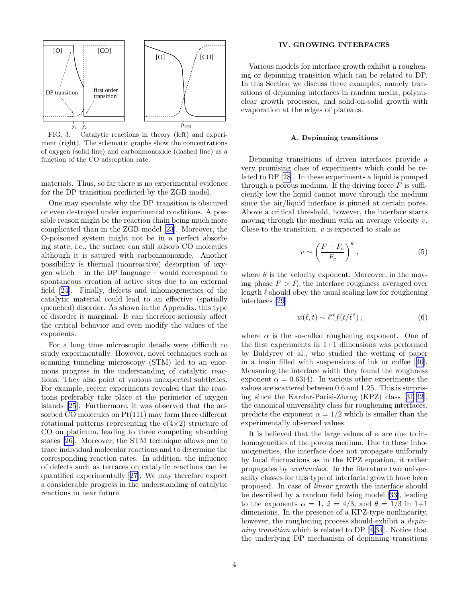<span id="page-3-0"></span>

FIG. 3. Catalytic reactions in theory (left) and experiment (right). The schematic graphs show the concentrations of oxygen (solid line) and carbonmonoxide (dashed line) as a function of the CO adsorption rate.

materials. Thus, so far there is no experimental evidence for the DP transition predicted by the ZGB model.

One may speculate why the DP transition is obscured or even destroyed under experimental conditions. A possible reason might be the reaction chain being much more complicated than in the ZGB model [\[23](#page-11-0)]. Moreover, the O-poisoned system might not be in a perfect absorbing state, i.e., the surface can still adsorb CO molecules although it is satured with carbonmonoxide. Another possibility is thermal (nonreactive) desorption of oxygen which – in the DP language – would correspond to spontaneous creation of active sites due to an external field[[24\]](#page-11-0). Finally, defects and inhomogeneities of the catalytic material could lead to an effective (spatially quenched) disorder. As shown in the Appendix, this type of disorder is marginal. It can therefore seriously affect the critical behavior and even modify the values of the exponents.

For a long time microscopic details were difficult to study experimentally. However, novel techniques such as scanning tunneling microscopy (STM) led to an enormous progress in the understanding of catalytic reactions. They also point at various unexpected subtleties. For example, recent experiments revealed that the reactions preferably take place at the perimeter of oxygen islands [\[25](#page-11-0)]. Furthermore, it was observed that the adsorbed CO molecules on Pt(111) may form three different rotational patterns representing the  $c(4\times2)$  structure of CO on platinum, leading to three competing absorbing states [\[26\]](#page-11-0). Moreover, the STM technique allows one to trace individual molecular reactions and to determine the corresponding reaction rates. In addition, the influence of defects such as terraces on catalytic reactions can be quantified experimentally[[27\]](#page-11-0). We may therefore expect a considerable progress in the understanding of catalytic reactions in near future.

### IV. GROWING INTERFACES

Various models for interface growth exhibit a roughening or depinning transition which can be related to DP. In this Section we discuss three examples, namely transitions of depinning interfaces in random media, polynuclear growth processes, and solid-on-solid growth with evaporation at the edges of plateaus.

### A. Depinning transitions

Depinning transitions of driven interfaces provide a very promising class of experiments which could be related to DP [\[28](#page-11-0)]. In these experiments a liquid is pumped through a porous medium. If the driving force  $F$  is sufficiently low the liquid cannot move through the medium since the air/liquid interface is pinned at certain pores. Above a critical threshold, however, the interface starts moving through the medium with an average velocity v. Close to the transition,  $v$  is expected to scale as

$$
v \sim \left(\frac{F - F_c}{F_c}\right)^{\theta},\tag{5}
$$

where  $\theta$  is the velocity exponent. Moreover, in the moving phase  $F > F_c$  the interface roughness averaged over length  $\ell$  should obey the usual scaling law for roughening interfaces [\[29](#page-11-0)]

$$
w(\ell, t) \sim \ell^{\alpha} f(t/\ell^{\tilde{z}}), \qquad (6)
$$

where  $\alpha$  is the so-called roughening exponent. One of the first experiments in 1+1 dimensions was performed by Buldyrev et al., who studied the wetting of paper in a basin filled with suspensions of ink or coffee[[30\]](#page-11-0). Measuring the interface width they found the roughness exponent  $\alpha = 0.63(4)$ . In various other experiments the values are scattered between 0.6 and 1.25. This is surprising since the Kardar-Parisi-Zhang (KPZ) class[[31,32\]](#page-11-0), the canonical universality class for roughening interfaces, predicts the exponent  $\alpha = 1/2$  which is smaller than the experimentally observed values.

It is believed that the large values of  $\alpha$  are due to inhomogeneities of the porous medium. Due to these inhomogeneities, the interface does not propagate uniformly by local fluctuations as in the KPZ equation, it rather propagates by avalanches. In the literature two universality classes for this type of interfacial growth have been proposed. In case of linear growth the interface should be described by a random field Ising model [\[33](#page-11-0)], leading to the exponents  $\alpha = 1$ ,  $\tilde{z} = 4/3$ , and  $\theta = 1/3$  in 1+1 dimensions. In the presence of a KPZ-type nonlinearity, however, the roughening process should exhibit a *depin*ning transition which is related to DP[[4,34](#page-11-0)]. Notice that the underlying DP mechanism of depinning transitions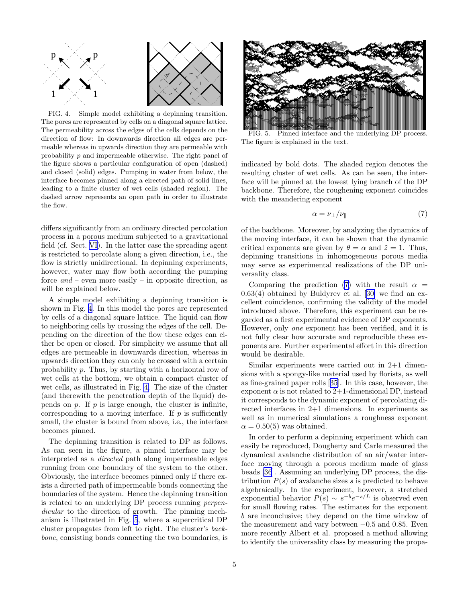

FIG. 4. Simple model exhibiting a depinning transition. The pores are represented by cells on a diagonal square lattice. The permeability across the edges of the cells depends on the direction of flow: In downwards direction all edges are permeable whereas in upwards direction they are permeable with probability p and impermeable otherwise. The right panel of the figure shows a particular configuration of open (dashed) and closed (solid) edges. Pumping in water from below, the interface becomes pinned along a eirected path of solid lines, leading to a finite cluster of wet cells (shaded region). The dashed arrow represents an open path in order to illustrate the flow.

differs significantly from an ordinary directed percolation process in a porous medium subjected to a gravitational field (cf. Sect. [VI](#page-8-0)). In the latter case the spreading agent is restricted to percolate along a given direction, i.e., the flow is strictly unidirectional. In depinning experiments, however, water may flow both according the pumping force  $and$  – even more easily – in opposite direction, as will be explained below.

A simple model exhibiting a depinning transition is shown in Fig. 4. In this model the pores are represented by cells of a diagonal square lattice. The liquid can flow to neighboring cells by crossing the edges of the cell. Depending on the direction of the flow these edges can either be open or closed. For simplicity we assume that all edges are permeable in downwards direction, whereas in upwards direction they can only be crossed with a certain probability p. Thus, by starting with a horizontal row of wet cells at the bottom, we obtain a compact cluster of wet cells, as illustrated in Fig. 4. The size of the cluster (and therewith the penetration depth of the liquid) depends on  $p$ . If  $p$  is large enough, the cluster is infinite, corresponding to a moving interface. If  $p$  is sufficiently small, the cluster is bound from above, i.e., the interface becomes pinned.

The depinning transition is related to DP as follows. As can seen in the figure, a pinned interface may be interpreted as a directed path along impermeable edges running from one boundary of the system to the other. Obviously, the interface becomes pinned only if there exists a directed path of impermeable bonds connecting the boundaries of the system. Hence the depinning transition is related to an underlying DP process running perpendicular to the direction of growth. The pinning mechanism is illustrated in Fig. 5, where a supercritical DP cluster propagates from left to right. The cluster's backbone, consisting bonds connecting the two boundaries, is



FIG. 5. Pinned interface and the underlying DP process. The figure is explained in the text.

indicated by bold dots. The shaded region denotes the resulting cluster of wet cells. As can be seen, the interface will be pinned at the lowest lying branch of the DP backbone. Therefore, the roughening exponent coincides with the meandering exponent

$$
\alpha = \nu_{\perp}/\nu_{\parallel} \tag{7}
$$

of the backbone. Moreover, by analyzing the dynamics of the moving interface, it can be shown that the dynamic critical exponents are given by  $\theta = \alpha$  and  $\tilde{z} = 1$ . Thus, depinning transitions in inhomogeneous porous media may serve as experimental realizations of the DP universality class.

Comparing the prediction (7) with the result  $\alpha =$ 0.63(4) obtained by Buldyrev et al.[[30\]](#page-11-0) we find an excellent coincidence, confirming the validity of the model introduced above. Therefore, this experiment can be regarded as a first experimental evidence of DP exponents. However, only one exponent has been verified, and it is not fully clear how accurate and reproducible these exponents are. Further experimental effort in this direction would be desirable.

Similar experiments were carried out in 2+1 dimensions with a spongy-like material used by florists, as well as fine-grained paper rolls[[35\]](#page-11-0). In this case, however, the exponent  $\alpha$  is not related to 2+1-dimensional DP, instead it corresponds to the dynamic exponent of percolating directed interfaces in 2+1 dimensions. In experiments as well as in numerical simulations a roughness exponent  $\alpha = 0.50(5)$  was obtained.

In order to perform a depinning experiment which can easily be reproduced, Dougherty and Carle measured the dynamical avalanche distribution of an air/water interface moving through a porous medium made of glass beads [\[36](#page-11-0)]. Assuming an underlying DP process, the distribution  $P(s)$  of avalanche sizes s is predicted to behave algebraically. In the experiment, however, a stretched exponential behavior  $P(s) \sim s^{-b} e^{-s/L}$  is observed even for small flowing rates. The estimates for the exponent b are inconclusive; they depend on the time window of the measurement and vary between  $-0.5$  and 0.85. Even more recently Albert et al. proposed a method allowing to identify the universality class by measuring the propa-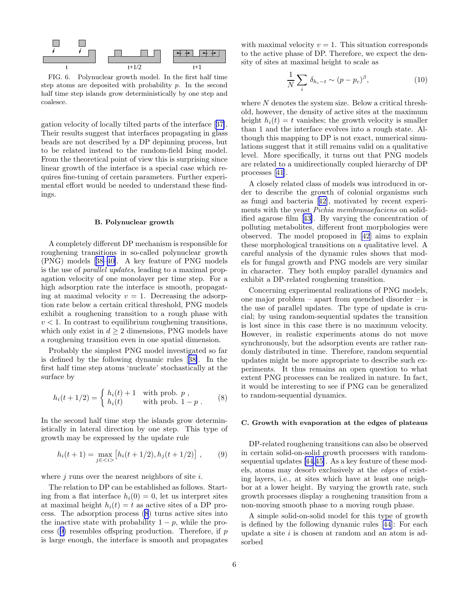<span id="page-5-0"></span>

FIG. 6. Polynuclear growth model. In the first half time step atoms are deposited with probability  $p$ . In the second half time step islands grow deterministically by one step and coalesce.

gation velocity of locally tilted parts of the interface[[37\]](#page-11-0). Their results suggest that interfaces propagating in glass beads are not described by a DP depinning process, but to be related instead to the random-field Ising model. From the theoretical point of view this is surprising since linear growth of the interface is a special case which requires fine-tuning of certain parameters. Further experimental effort would be needed to understand these findings.

#### B. Polynuclear growth

A completely different DP mechanism is responsible for roughening transitions in so-called polynuclear growth (PNG) models[[38–40\]](#page-11-0). A key feature of PNG models is the use of parallel updates, leading to a maximal propagation velocity of one monolayer per time step. For a high adsorption rate the interface is smooth, propagating at maximal velocity  $v = 1$ . Decreasing the adsorption rate below a certain critical threshold, PNG models exhibit a roughening transition to a rough phase with  $v < 1$ . In contrast to equilibrium roughening transitions, which only exist in  $d \geq 2$  dimensions, PNG models have a roughening transition even in one spatial dimension.

Probably the simplest PNG model investigated so far is defined by the following dynamic rules[[38\]](#page-11-0). In the first half time step atoms 'nucleate' stochastically at the surface by

$$
h_i(t + 1/2) = \begin{cases} h_i(t) + 1 & \text{with prob. } p, \\ h_i(t) & \text{with prob. } 1 - p. \end{cases}
$$
 (8)

In the second half time step the islands grow deterministically in lateral direction by one step. This type of growth may be expressed by the update rule

$$
h_i(t+1) = \max_{j \in \langle i \rangle} \left[ h_i(t+1/2), h_j(t+1/2) \right], \qquad (9)
$$

where  $j$  runs over the nearest neighbors of site  $i$ .

The relation to DP can be established as follows. Starting from a flat interface  $h_i(0) = 0$ , let us interpret sites at maximal height  $h_i(t) = t$  as active sites of a DP process. The adsorption process (8) turns active sites into the inactive state with probability  $1 - p$ , while the process  $(9)$  resembles offspring production. Therefore, if  $p$ is large enough, the interface is smooth and propagates

with maximal velocity  $v = 1$ . This situation corresponds to the active phase of DP. Therefore, we expect the density of sites at maximal height to scale as

$$
\frac{1}{N} \sum_{i} \delta_{h_i - t} \sim (p - p_c)^{\beta},\tag{10}
$$

where N denotes the system size. Below a critical threshold, however, the density of active sites at the maximum height  $h_i(t) = t$  vanishes; the growth velocity is smaller than 1 and the interface evolves into a rough state. Although this mapping to DP is not exact, numerical simulations suggest that it still remains valid on a qualitative level. More specifically, it turns out that PNG models are related to a unidirectionally coupled hierarchy of DP processes[[41\]](#page-11-0).

A closely related class of models was introduced in order to describe the growth of colonial organisms such as fungi and bacteria[[42\]](#page-11-0), motivated by recent experiments with the yeast Pichia membranaefaciens on solidified agarose film[[43\]](#page-11-0). By varying the concentration of polluting metabolites, different front morphologies were observed. The model proposed in [\[42](#page-11-0)] aims to explain these morphological transitions on a qualitative level. A careful analysis of the dynamic rules shows that models for fungal growth and PNG models are very similar in character. They both employ parallel dynamics and exhibit a DP-related roughening transition.

Concerning experimental realizations of PNG models, one major problem – apart from quenched disorder – is the use of parallel updates. The type of update is crucial; by using random-sequential updates the transition is lost since in this case there is no maximum velocity. However, in realistic experiments atoms do not move synchronously, but the adsorption events are rather randomly distributed in time. Therefore, random sequential updates might be more appropriate to describe such experiments. It thus remains an open question to what extent PNG processes can be realized in nature. In fact, it would be interesting to see if PNG can be generalized to random-sequential dynamics.

# C. Growth with evaporation at the edges of plateaus

DP-related roughening transitions can also be observed in certain solid-on-solid growth processes with randomsequential updates[[44,45\]](#page-11-0). As a key feature of these models, atoms may desorb exclusively at the edges of existing layers, i.e., at sites which have at least one neighbor at a lower height. By varying the growth rate, such growth processes display a roughening transition from a non-moving smooth phase to a moving rough phase.

A simple solid-on-solid model for this type of growth is defined by the following dynamic rules[[44](#page-11-0)]: For each update a site  $i$  is chosen at random and an atom is adsorbed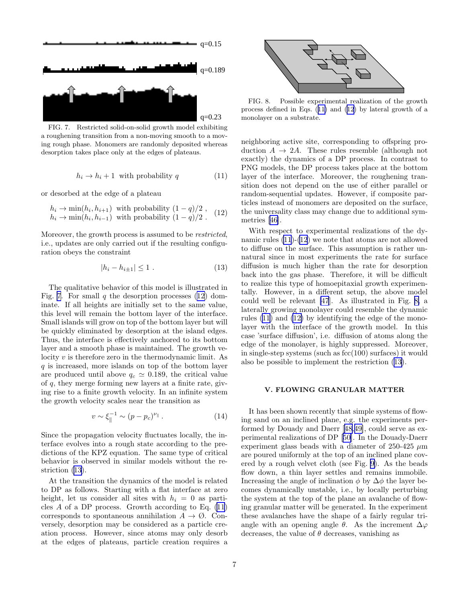<span id="page-6-0"></span>

FIG. 7. Restricted solid-on-solid growth model exhibiting a roughening transition from a non-moving smooth to a moving rough phase. Monomers are randomly deposited whereas desorption takes place only at the edges of plateaus.

$$
h_i \to h_i + 1 \text{ with probability } q \tag{11}
$$

or desorbed at the edge of a plateau

$$
h_i \to \min(h_i, h_{i+1})
$$
 with probability  $(1 - q)/2$ ,  $h_i \to \min(h_i, h_{i-1})$  with probability  $(1 - q)/2$ . (12)

Moreover, the growth process is assumed to be *restricted*, i.e., updates are only carried out if the resulting configuration obeys the constraint

$$
|h_i - h_{i \pm 1}| \le 1 . \tag{13}
$$

The qualitative behavior of this model is illustrated in Fig. 7. For small q the desorption processes  $(12)$  dominate. If all heights are initially set to the same value, this level will remain the bottom layer of the interface. Small islands will grow on top of the bottom layer but will be quickly eliminated by desorption at the island edges. Thus, the interface is effectively anchored to its bottom layer and a smooth phase is maintained. The growth velocity v is therefore zero in the thermodynamic limit. As  $q$  is increased, more islands on top of the bottom layer are produced until above  $q_c \approx 0.189$ , the critical value of q, they merge forming new layers at a finite rate, giving rise to a finite growth velocity. In an infinite system the growth velocity scales near the transition as

$$
v \sim \xi_{\parallel}^{-1} \sim (p - p_c)^{\nu_{\parallel}}.
$$
 (14)

Since the propagation velocity fluctuates locally, the interface evolves into a rough state according to the predictions of the KPZ equation. The same type of critical behavior is observed in similar models without the restriction (13).

At the transition the dynamics of the model is related to DP as follows. Starting with a flat interface at zero height, let us consider all sites with  $h_i = 0$  as particles  $A$  of a DP process. Growth according to Eq.  $(11)$ corresponds to spontaneous annihilation  $A \to \emptyset$ . Conversely, desorption may be considered as a particle creation process. However, since atoms may only desorb at the edges of plateaus, particle creation requires a



FIG. 8. Possible experimental realization of the growth process defined in Eqs. (11) and (12) by lateral growth of a monolayer on a substrate.

neighboring active site, corresponding to offspring production  $A \rightarrow 2A$ . These rules resemble (although not exactly) the dynamics of a DP process. In contrast to PNG models, the DP process takes place at the bottom layer of the interface. Moreover, the roughening transition does not depend on the use of either parallel or random-sequential updates. However, if composite particles instead of monomers are deposited on the surface, the universality class may change due to additional symmetries[[46\]](#page-11-0).

With respect to experimental realizations of the dynamic rules (11)-(12) we note that atoms are not allowed to diffuse on the surface. This assumption is rather unnatural since in most experiments the rate for surface diffusion is much higher than the rate for desorption back into the gas phase. Therefore, it will be difficult to realize this type of homoepitaxial growth experimentally. However, in a different setup, the above model could well be relevant [\[47](#page-11-0)]. As illustrated in Fig. 8, a laterally growing monolayer could resemble the dynamic rules (11) and (12) by identifying the edge of the monolayer with the interface of the growth model. In this case 'surface diffusion', i.e. diffusion of atoms along the edge of the monolayer, is highly suppressed. Moreover, in single-step systems (such as fcc(100) surfaces) it would also be possible to implement the restriction (13).

### V. FLOWING GRANULAR MATTER

It has been shown recently that simple systems of flowing sand on an inclined plane, e.g. the experiments performed by Douady and Daerr[[48,49\]](#page-11-0), could serve as experimental realizations of DP[[50\]](#page-12-0). In the Douady-Daerr experiment glass beads with a diameter of 250-425  $\mu$ m are poured uniformly at the top of an inclined plane covered by a rough velvet cloth (see Fig. [9\)](#page-7-0). As the beads flow down, a thin layer settles and remains immobile. Increasing the angle of inclination  $\phi$  by  $\Delta\phi$  the layer becomes dynamically unstable, i.e., by locally perturbing the system at the top of the plane an avalanche of flowing granular matter will be generated. In the experiment these avalanches have the shape of a fairly regular triangle with an opening angle  $\theta$ . As the increment  $\Delta\varphi$ decreases, the value of  $\theta$  decreases, vanishing as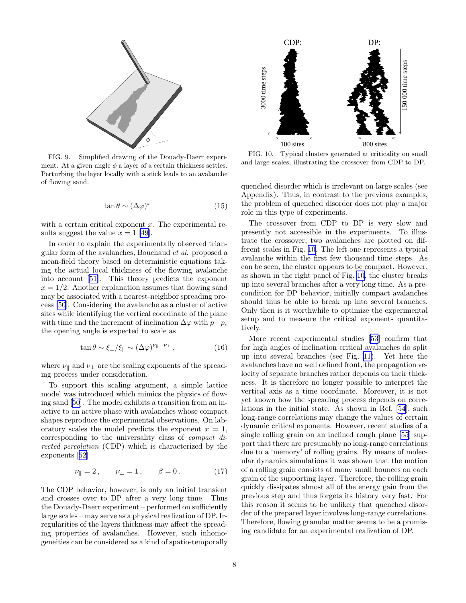<span id="page-7-0"></span>

FIG. 9. Simplified drawing of the Douady-Daerr experiment. At a given angle  $\phi$  a layer of a certain thickness settles. Perturbing the layer locally with a stick leads to an avalanche of flowing sand.

$$
\tan \theta \sim (\Delta \varphi)^x \tag{15}
$$

with a certain critical exponent  $x$ . The experimental results suggest the value  $x = 1$  [\[49](#page-11-0)].

In order to explain the experimentally observed triangular form of the avalanches, Bouchaud et al. proposed a mean-field theory based on deterministic equations taking the actual local thickness of the flowing avalanche into account [\[51\]](#page-12-0). This theory predicts the exponent  $x = 1/2$ . Another explanation assumes that flowing sand may be associated with a nearest-neighbor spreading process [\[50](#page-12-0)]. Considering the avalanche as a cluster of active sites while identifying the vertical coordinate of the plane with time and the increment of inclination  $\Delta\varphi$  with  $p-p_c$ the opening angle is expected to scale as

$$
\tan \theta \sim \xi_{\perp} / \xi_{\parallel} \sim (\Delta \varphi)^{\nu_{\parallel} - \nu_{\perp}}, \qquad (16)
$$

where  $\nu_{\parallel}$  and  $\nu_{\perp}$  are the scaling exponents of the spreading process under consideration.

To support this scaling argument, a simple lattice model was introduced which mimics the physics of flowing sand [\[50](#page-12-0)]. The model exhibits a transition from an inactive to an active phase with avalanches whose compact shapes reproduce the experimental observations. On laboratory scales the model predicts the exponent  $x = 1$ , corresponding to the universality class of compact directed percolation (CDP) which is characterized by the exponents[[52\]](#page-12-0)

$$
\nu_{\parallel} = 2, \qquad \nu_{\perp} = 1, \qquad \beta = 0.
$$
\n(17)

The CDP behavior, however, is only an initial transient and crosses over to DP after a very long time. Thus the Douady-Daerr experiment – performed on sufficiently large scales – may serve as a physical realization of DP. Irregularities of the layers thickness may affect the spreading properties of avalanches. However, such inhomogeneities can be considered as a kind of spatio-temporally



FIG. 10. Typical clusters generated at criticality on small and large scales, illustrating the crossover from CDP to DP.

quenched disorder which is irrelevant on large scales (see Appendix). Thus, in contrast to the previous examples, the problem of quenched disorder does not play a major role in this type of experiments.

The crossover from CDP to DP is very slow and presently not accessible in the experiments. To illustrate the crossover, two avalanches are plotted on different scales in Fig. 10. The left one represents a typical avalanche within the first few thousand time steps. As can be seen, the cluster appears to be compact. However, as shown in the right panel of Fig. 10, the cluster breaks up into several branches after a very long time. As a precondition for DP behavior, initially compact avalanches should thus be able to break up into several branches. Only then is it worthwhile to optimize the experimental setup and to measure the critical exponents quantitatively.

More recent experimental studies [\[53](#page-12-0)] confirm that for high angles of inclination critical avalanches do split up into several branches (see Fig. [11\)](#page-8-0). Yet here the avalanches have no well defined front, the propagation velocity of separate branches rather depends on their thickness. It is therefore no longer possible to interpret the vertical axis as a time coordinate. Moreover, it is not yet known how the spreading process depends on correlations in the initial state. As shown in Ref. [\[54](#page-12-0)], such long-range correlations may change the values of certain dynamic critical exponents. However, recent studies of a single rolling grain on an inclined rough plane [\[55](#page-12-0)] support that there are presumably no long-range correlations due to a 'memory' of rolling grains. By means of molecular dynamics simulations it was shown that the motion of a rolling grain consists of many small bounces on each grain of the supporting layer. Therefore, the rolling grain quickly dissipates almost all of the energy gain from the previous step and thus forgets its history very fast. For this reason it seems to be unlikely that quenched disorder of the prepared layer involves long-range correlations. Therefore, flowing granular matter seems to be a promising candidate for an experimental realization of DP.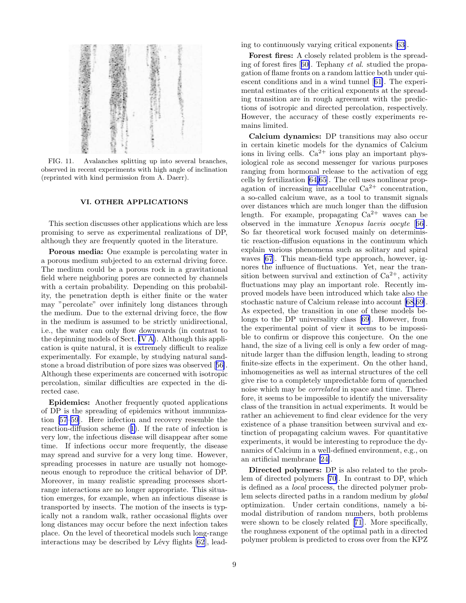<span id="page-8-0"></span>

FIG. 11. Avalanches splitting up into several branches, observed in recent experiments with high angle of inclination (reprinted with kind permission from A. Daerr).

## VI. OTHER APPLICATIONS

This section discusses other applications which are less promising to serve as experimental realizations of DP, although they are frequently quoted in the literature.

Porous media: One example is percolating water in a porous medium subjected to an external driving force. The medium could be a porous rock in a gravitational field where neighboring pores are connected by channels with a certain probability. Depending on this probability, the penetration depth is either finite or the water may "percolate" over infinitely long distances through the medium. Due to the external driving force, the flow in the medium is assumed to be strictly unidirectional, i.e., the water can only flow downwards (in contrast to the depinning models of Sect. [IV A\)](#page-3-0). Although this application is quite natural, it is extremely difficult to realize experimentally. For example, by studying natural sandstone a broad distribution of pore sizes was observed[[56\]](#page-12-0). Although these experiments are concerned with isotropic percolation, similar difficulties are expected in the directed case.

Epidemics: Another frequently quoted applications of DP is the spreading of epidemics without immunization [\[57–59](#page-11-0)]. Here infection and recovery resemble the reaction-diffusion scheme([1\)](#page-1-0). If the rate of infection is very low, the infectious disease will disappear after some time. If infections occur more frequently, the disease may spread and survive for a very long time. However, spreading processes in nature are usually not homogeneous enough to reproduce the critical behavior of DP. Moreover, in many realistic spreading processes shortrange interactions are no longer appropriate. This situation emerges, for example, when an infectious disease is transported by insects. The motion of the insects is typically not a random walk, rather occasional flights over long distances may occur before the next infection takes place. On the level of theoretical models such long-range interactions may be described by Lévy flights  $[62]$ , leading to continuously varying critical exponents[[63](#page-12-0)].

Forest fires: A closely related problem is the spreading of forest fires[[60\]](#page-12-0). Tephany et al. studied the propagation of flame fronts on a random lattice both under quiescent conditions and in a wind tunnel[[61\]](#page-12-0). The experimental estimates of the critical exponents at the spreading transition are in rough agreement with the predictions of isotropic and directed percolation, respectively. However, the accuracy of these costly experiments remains limited.

Calcium dynamics: DP transitions may also occur in certain kinetic models for the dynamics of Calcium ions in living cells.  $Ca^{2+}$  ions play an important physiological role as second messenger for various purposes ranging from hormonal release to the activation of egg cells by fertilization [\[64,65](#page-12-0)]. The cell uses nonlinear propagation of increasing intracellular  $Ca^{2+}$  concentration, a so-called calcium wave, as a tool to transmit signals over distances which are much longer than the diffusion length. For example, propagating  $Ca^{2+}$  waves can be observed in the immature Xenopus laevis oocyte [[66\]](#page-12-0). So far theoretical work focused mainly on deterministic reaction-diffusion equations in the continuum which explain various phenomena such as solitary and spiral waves [\[67](#page-12-0)]. This mean-field type approach, however, ignores the influence of fluctuations. Yet, near the transition between survival and extinction of  $Ca^{2+}$ , activity fluctuations may play an important role. Recently improved models have been introduced which take also the stochastic nature of Calcium release into account[[68,69\]](#page-12-0). As expected, the transition in one of these models belongs to the DP universality class [\[69](#page-12-0)]. However, from the experimental point of view it seems to be impossible to confirm or disprove this conjecture. On the one hand, the size of a living cell is only a few order of magnitude larger than the diffusion length, leading to strong finite-size effects in the experiment. On the other hand, inhomogeneities as well as internal structures of the cell give rise to a completely unpredictable form of quenched noise which may be correlated in space and time. Therefore, it seems to be impossible to identify the universality class of the transition in actual experiments. It would be rather an achievement to find clear evidence for the very existence of a phase transition between survival and extinction of propagating calcium waves. For quantitative experiments, it would be interesting to reproduce the dynamics of Calcium in a well-defined environment, e.g., on an artificial membrane [\[24\]](#page-11-0).

Directed polymers: DP is also related to the problem of directed polymers[[70](#page-12-0)]. In contrast to DP, which is defined as a local process, the directed polymer problem selects directed paths in a random medium by global optimization. Under certain conditions, namely a bimodal distribution of random numbers, both problems were shown to be closely related[[71](#page-12-0)]. More specifically, the roughness exponent of the optimal path in a directed polymer problem is predicted to cross over from the KPZ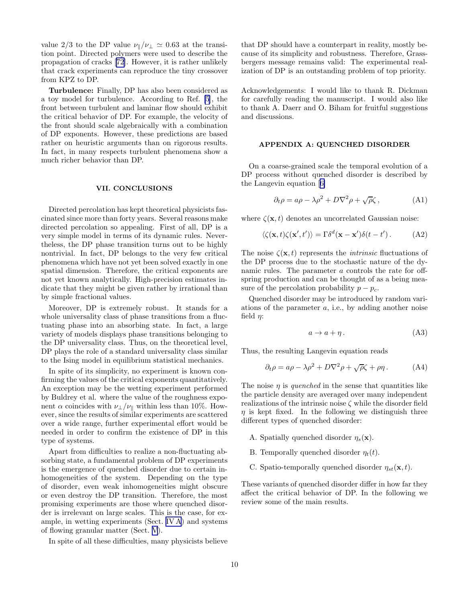<span id="page-9-0"></span>value 2/3 to the DP value  $\nu_{\parallel}/\nu_{\perp} \simeq 0.63$  at the transition point. Directed polymers were used to describe the propagation of cracks[[72](#page-12-0)]. However, it is rather unlikely that crack experiments can reproduce the tiny crossover from KPZ to DP.

Turbulence: Finally, DP has also been considered as a toy model for turbulence. According to Ref. [\[5](#page-11-0)], the front between turbulent and laminar flow should exhibit the critical behavior of DP. For example, the velocity of the front should scale algebraically with a combination of DP exponents. However, these predictions are based rather on heuristic arguments than on rigorous results. In fact, in many respects turbulent phenomena show a much richer behavior than DP.

### VII. CONCLUSIONS

Directed percolation has kept theoretical physicists fascinated since more than forty years. Several reasons make directed percolation so appealing. First of all, DP is a very simple model in terms of its dynamic rules. Nevertheless, the DP phase transition turns out to be highly nontrivial. In fact, DP belongs to the very few critical phenomena which have not yet been solved exactly in one spatial dimension. Therefore, the critical exponents are not yet known analytically. High-precision estimates indicate that they might be given rather by irrational than by simple fractional values.

Moreover, DP is extremely robust. It stands for a whole universality class of phase transitions from a fluctuating phase into an absorbing state. In fact, a large variety of models displays phase transitions belonging to the DP universality class. Thus, on the theoretical level, DP plays the role of a standard universality class similar to the Ising model in equilibrium statistical mechanics.

In spite of its simplicity, no experiment is known confirming the values of the critical exponents quantitatively. An exception may be the wetting experiment performed by Buldrey et al. where the value of the roughness exponent  $\alpha$  coincides with  $\nu_{\perp}/\nu_{\parallel}$  within less than 10%. However, since the results of similar experiments are scattered over a wide range, further experimental effort would be needed in order to confirm the existence of DP in this type of systems.

Apart from difficulties to realize a non-fluctuating absorbing state, a fundamental problem of DP experiments is the emergence of quenched disorder due to certain inhomogeneities of the system. Depending on the type of disorder, even weak inhomogeneities might obscure or even destroy the DP transition. Therefore, the most promising experiments are those where quenched disorder is irrelevant on large scales. This is the case, for example, in wetting experiments (Sect. [IV A](#page-3-0)) and systems of flowing granular matter (Sect. [V](#page-6-0)).

In spite of all these difficulties, many physicists believe

that DP should have a counterpart in reality, mostly because of its simplicity and robustness. Therefore, Grassbergers message remains valid: The experimental realization of DP is an outstanding problem of top priority.

Acknowledgements: I would like to thank R. Dickman for carefully reading the manuscript. I would also like to thank A. Daerr and O. Biham for fruitful suggestions and discussions.

### APPENDIX A: QUENCHED DISORDER

On a coarse-grained scale the temporal evolution of a DP process without quenched disorder is described by the Langevin equation[[6\]](#page-11-0)

$$
\partial_t \rho = a\rho - \lambda \rho^2 + D\nabla^2 \rho + \sqrt{\rho} \zeta, \qquad (A1)
$$

where  $\zeta(\mathbf{x}, t)$  denotes an uncorrelated Gaussian noise:

$$
\langle \zeta(\mathbf{x},t)\zeta(\mathbf{x}',t')\rangle = \Gamma \delta^d(\mathbf{x}-\mathbf{x}')\delta(t-t'). \tag{A2}
$$

The noise  $\zeta(\mathbf{x}, t)$  represents the *intrinsic* fluctuations of the DP process due to the stochastic nature of the dynamic rules. The parameter a controls the rate for offspring production and can be thought of as a being measure of the percolation probability  $p - p_c$ .

Quenched disorder may be introduced by random variations of the parameter  $a$ , i.e., by adding another noise field  $\eta$ :

$$
a \to a + \eta \,. \tag{A3}
$$

Thus, the resulting Langevin equation reads

$$
\partial_t \rho = a\rho - \lambda \rho^2 + D\nabla^2 \rho + \sqrt{\rho}\zeta + \rho \eta. \tag{A4}
$$

The noise  $\eta$  is quenched in the sense that quantities like the particle density are averaged over many independent realizations of the intrinsic noise  $\zeta$  while the disorder field  $\eta$  is kept fixed. In the following we distinguish three different types of quenched disorder:

- A. Spatially quenched disorder  $\eta_s(\mathbf{x})$ .
- B. Temporally quenched disorder  $\eta_t(t)$ .
- C. Spatio-temporally quenched disorder  $\eta_{st}(\mathbf{x}, t)$ .

These variants of quenched disorder differ in how far they affect the critical behavior of DP. In the following we review some of the main results.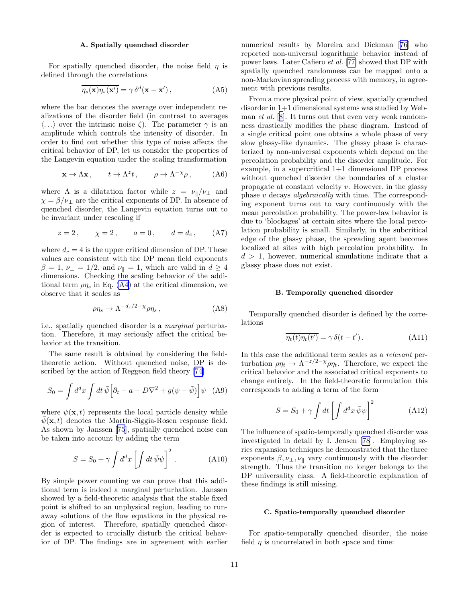### A. Spatially quenched disorder

<span id="page-10-0"></span>For spatially quenched disorder, the noise field  $\eta$  is defined through the correlations

$$
\overline{\eta_s(\mathbf{x})\eta_s(\mathbf{x}')} = \gamma \,\delta^d(\mathbf{x} - \mathbf{x}'),\tag{A5}
$$

where the bar denotes the average over independent realizations of the disorder field (in contrast to averages  $\langle \ldots \rangle$  over the intrinsic noise  $\zeta$ ). The parameter  $\gamma$  is an amplitude which controls the intensity of disorder. In order to find out whether this type of noise affects the critical behavior of DP, let us consider the properties of the Langevin equation under the scaling transformation

$$
\mathbf{x} \to \Lambda \mathbf{x} \,, \qquad t \to \Lambda^z t \,, \qquad \rho \to \Lambda^{-\chi} \rho \,, \tag{A6}
$$

where  $\Lambda$  is a dilatation factor while  $z = \nu_{\parallel}/\nu_{\perp}$  and  $\chi = \beta/\nu_{\perp}$  are the critical exponents of DP. In absence of quenched disorder, the Langevin equation turns out to be invariant under rescaling if

$$
z = 2
$$
,  $\chi = 2$ ,  $a = 0$ ,  $d = d_c$ , (A7)

where  $d_c = 4$  is the upper critical dimension of DP. These values are consistent with the DP mean field exponents  $\beta = 1, \nu_{\perp} = 1/2$ , and  $\nu_{\parallel} = 1$ , which are valid in  $d \geq 4$ dimensions. Checking the scaling behavior of the additional term  $\rho\eta_s$  in Eq. [\(A4\)](#page-9-0) at the critical dimension, we observe that it scales as

$$
\rho \eta_s \to \Lambda^{-d_c/2 - \chi} \rho \eta_s \,, \tag{A8}
$$

i.e., spatially quenched disorder is a marginal perturbation. Therefore, it may seriously affect the critical behavior at the transition.

The same result is obtained by considering the fieldtheoretic action. Without quenched noise, DP is described by the action of Reggeon field theory[[74](#page-12-0)]

$$
S_0 = \int d^d x \int dt \,\overline{\psi} \Big[ \partial_t - a - D\nabla^2 + g(\psi - \overline{\psi}) \Big] \psi \quad \text{(A9)}
$$

where  $\psi(\mathbf{x}, t)$  represents the local particle density while  $\bar{\psi}(\mathbf{x}, t)$  denotes the Martin-Siggia-Rosen response field. As shown by Janssen [\[75](#page-12-0)], spatially quenched noise can be taken into account by adding the term

$$
S = S_0 + \gamma \int d^d x \left[ \int dt \,\bar{\psi}\psi \right]^2.
$$
 (A10)

By simple power counting we can prove that this additional term is indeed a marginal perturbation. Janssen showed by a field-theoretic analysis that the stable fixed point is shifted to an unphysical region, leading to runaway solutions of the flow equations in the physical region of interest. Therefore, spatially quenched disorder is expected to crucially disturb the critical behavior of DP. The findings are in agreement with earlier numerical results by Moreira and Dickman[[76\]](#page-12-0) who reported non-universal logarithmic behavior instead of power laws. Later Cafiero et al. [[77\]](#page-12-0) showed that DP with spatially quenched randomness can be mapped onto a non-Markovian spreading process with memory, in agreement with previous results.

From a more physical point of view, spatially quenched disorder in 1+1 dimensional systems was studied by Webman *et al.* [[8\]](#page-11-0). It turns out that even very weak randomness drastically modifies the phase diagram. Instead of a single critical point one obtains a whole phase of very slow glassy-like dynamics. The glassy phase is characterized by non-universal exponents which depend on the percolation probability and the disorder amplitude. For example, in a supercritical 1+1 dimensional DP process without quenched disorder the boundaries of a cluster propagate at constant velocity v. However, in the glassy phase v decays algebraically with time. The corresponding exponent turns out to vary continuously with the mean percolation probability. The power-law behavior is due to 'blockages' at certain sites where the local percolation probability is small. Similarly, in the subcritical edge of the glassy phase, the spreading agent becomes localized at sites with high percolation probability. In  $d > 1$ , however, numerical simulations indicate that a glassy phase does not exist.

### B. Temporally quenched disorder

Temporally quenched disorder is defined by the correlations

$$
\overline{\eta_t(t)\eta_t(t')} = \gamma \,\delta(t - t')\,. \tag{A11}
$$

In this case the additional term scales as a relevant perturbation  $\rho \eta_t \to \Lambda^{-z/2-\chi} \rho \eta_t$ . Therefore, we expect the critical behavior and the associated critical exponents to change entirely. In the field-theoretic formulation this corresponds to adding a term of the form

$$
S = S_0 + \gamma \int dt \left[ \int d^d x \,\bar{\psi}\psi \right]^2 \tag{A12}
$$

The influence of spatio-temporally quenched disorder was investigated in detail by I. Jensen [\[78](#page-12-0)]. Employing series expansion techniques he demonstrated that the three exponents  $\beta, \nu_{\perp}, \nu_{\parallel}$  vary continuously with the disorder strength. Thus the transition no longer belongs to the DP universality class. A field-theoretic explanation of these findings is still missing.

### C. Spatio-temporally quenched disorder

For spatio-temporally quenched disorder, the noise field  $\eta$  is uncorrelated in both space and time: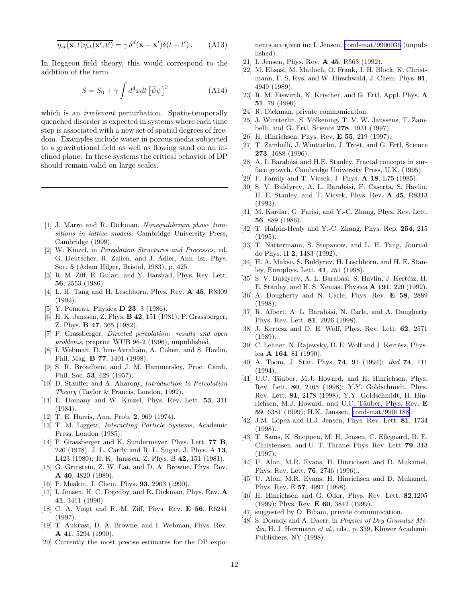<span id="page-11-0"></span>
$$
\overline{\eta_{st}(\mathbf{x},t)\eta_{st}(\mathbf{x}',t')} = \gamma \,\delta^d(\mathbf{x}-\mathbf{x}')\delta(t-t')\,. \tag{A13}
$$

In Reggeon field theory, this would correspond to the addition of the term

$$
S = S_0 + \gamma \int d^d x dt \left[ \bar{\psi}\psi \right]^2 \tag{A14}
$$

which is an *irrelevant* perturbation. Spatio-temporally quenched disorder is expected in systems where each time step is associated with a new set of spatial degrees of freedom. Examples include water in porous media subjected to a gravitational field as well as flowing sand on an inclined plane. In these systems the critical behavior of DP should remain valid on large scales.

- [1] J. Marro and R. Dickman, *Nonequilibrium phase transitions in lattice models*, Cambridge University Press, Cambridge (1999).
- [2] W. Kinzel, in *Percolation Structures and Processes*, ed. G. Deutscher, R. Zallen, and J. Adler, Ann. Isr. Phys. Soc. 5 (Adam Hilger, Bristol, 1983), p. 425.
- [3] R. M. Ziff, E. Gulari, and Y. Barshad, Phys. Rev. Lett. 56, 2553 (1986).
- [4] L. H. Tang and H. Leschhorn, Phys. Rev. A 45, R8309 (1992).
- [5] Y. Pomeau, Physica **D 23**, 3 (1986).
- [6] H. K. Janssen, Z. Phys. **B 42**, 151 (1981); P. Grassberger, Z. Phys. B 47, 365 (1982).
- [7] P. Grassberger, *Directed percolation: results and open problems*, preprint WUB 96-2 (1996), unpublished.
- [8] I. Webman, D. ben-Avraham, A. Cohen, and S. Havlin, Phil. Mag. B 77, 1401 (1998).
- [9] S. R. Broadbent and J. M. Hammersley, Proc. Camb. Phil. Soc. 53, 629 (1957).
- [10] D. Stauffer and A. Aharony, *Introduction to Percolation Theory* (Taylor & Francis, London, 1992).
- [11] E. Domany and W. Kinzel, Phys. Rev. Lett. 53, 311 (1984).
- [12] T. E. Harris, Ann. Prob. 2, 969 (1974).
- [13] T. M. Liggett, *Interacting Particle Systems*, Academic Press, London (1985).
- [14] P. Grassberger and K. Sundermeyer, Phys. Lett. 77 B, 220 (1978). J. L. Cardy and R. L. Sugar, J. Phys. A 13, L423 (1980); H. K. Janssen, Z. Phys. B 42, 151 (1981).
- [15] G. Grinstein, Z. W. Lai, and D. A. Browne, Phys. Rev. A 40, 4820 (1989).
- [16] P. Meakin, J. Chem. Phys. **93**, 2903 (1990).
- [17] I. Jensen, H. C. Fogedby, and R. Dickman, Phys. Rev. A 41, 3411 (1990).
- [18] C. A. Voigt and R. M. Ziff, Phys. Rev. E 56, R6241 (1997).
- [19] T. Aukrust, D. A. Browne, and I. Webman, Phys. Rev. A 41, 5294 (1990).
- [20] Currently the most precise estimates for the DP expo-

nents are given in: I. Jensen, [cond-mat/9906036](http://arxiv.org/abs/cond-mat/9906036) (unpublished).

- [21] I. Jensen, Phys. Rev. **A 45**, R563 (1992).
- [22] M. Ehsasi, M. Matloch, O. Frank, J. H. Block, K. Christmann, F. S. Rys, and W. Hirschwald, J. Chem. Phys. 91, 4949 (1989).
- [23] R. M. Eiswirth, K. Krischer, and G. Ertl, Appl. Phys. A 51, 79 (1990).
- [24] R. Dickman, private communication.
- [25] J. Wintterlin, S. Völkening, T. V. W. Janssens, T. Zambelli, and G. Ertl, Science 278, 1931 (1997).
- [26] H. Hinrichsen, Phys. Rev. **E 55**, 219 (1997).
- [27] T. Zambelli, J. Wintterlin, J. Trost, and G. Ertl, Science 273, 1688 (1996).
- [28] A. L Barabási and H.E. Stanley, Fractal concepts in surface growth, Cambridge University Press, U.K. (1995).
- [29] F. Family and T. Vicsek, J. Phys. A 18, L75 (1985).
- [30] S. V. Buldyrev, A. L. Barabási, F. Caserta, S. Havlin, H. E. Stanley, and T. Vicsek, Phys. Rev. A 45, R8313 (1992).
- [31] M. Kardar, G. Parisi, and Y.-C. Zhang, Phys. Rev. Lett. 56, 889 (1986).
- [32] T. Halpin-Healy and Y.-C. Zhang, Phys. Rep. 254, 215 (1995).
- [33] T. Nattermann, S. Stepanow, and L. H. Tang, Journal de Phys. II 2, 1483 (1992).
- [34] H. A. Makse, S. Buldyrev, H. Leschhorn, and H. E. Stanley, Europhys. Lett. 41, 251 (1998).
- [35] S. V. Buldyrev, A. L. Barabási, S. Havlin, J. Kertész, H. E. Stanley, and H. S. Xenias, Physica A 191, 220 (1992).
- [36] A. Dougherty and N. Carle, Phys. Rev. E 58, 2889 (1998).
- [37] R. Albert, A. L. Barabási, N. Carle, and A. Dougherty Phys. Rev. Lett. 81, 2926 (1998).
- [38] J. Kertész and D. E. Wolf, Phys. Rev. Lett.  $62$ , 2571 (1989).
- [39] C. Lehner, N. Rajewsky, D. E. Wolf and J. Kertész, Physica A 164, 81 (1990).
- [40] A. Toom, J. Stat. Phys. 74, 91 (1994); *ibid* 74, 111 (1994).
- [41] U.C. Täuber, M.J. Howard, and H. Hinrichsen, Phys. Rev. Lett. 80, 2165 (1998); Y.Y. Goldschmidt, Phys. Rev. Lett. 81, 2178 (1998); Y.Y. Goldschmidt, H. Hinrichsen, M.J. Howard, and U.C. Täuber, Phys. Rev.  $E$ 59, 6381 (1999); H.K. Janssen, [cond-mat/9901188.](http://arxiv.org/abs/cond-mat/9901188)
- [42] J.M. López and H.J. Jensen, Phys. Rev. Lett. 81, 1734 (1998).
- [43] T. Sams, K. Sneppen, M. H. Jensen, C. Ellegaard, B. E. Christensen, and U. T. Thrane, Phys. Rev. Lett. 79, 313 (1997).
- [44] U. Alon, M.R. Evans, H. Hinrichsen and D. Mukamel, Phys. Rev. Lett. 76, 2746 (1996);.
- [45] U. Alon, M.R. Evans, H. Hinrichsen and D. Mukamel, Phys. Rev. E 57, 4997 (1998).
- [46] H. Hinrichsen and G. Odor, Phys. Rev. Lett.  $82,1205$ (1999); Phys. Rev. E 60, 3842 (1999).
- [47] suggested by O. Biham, private communication.
- [48] S. Douady and A. Daerr, in *Physics of Dry Granular Media*, H. J. Herrmann *et al.*, eds., p. 339, Kluwer Academic Publishers, NY (1998).